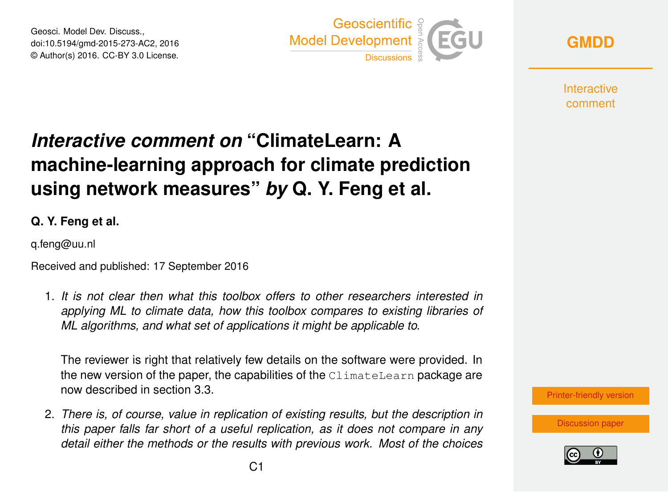Geosci. Model Dev. Discuss., doi:10.5194/gmd-2015-273-AC2, 2016 © Author(s) 2016. CC-BY 3.0 License.





**Interactive** comment

## *Interactive comment on* **"ClimateLearn: A machine-learning approach for climate prediction using network measures"** *by* **Q. Y. Feng et al.**

**Q. Y. Feng et al.**

q.feng@uu.nl

Received and published: 17 September 2016

1. *It is not clear then what this toolbox offers to other researchers interested in applying ML to climate data, how this toolbox compares to existing libraries of ML algorithms, and what set of applications it might be applicable to.*

The reviewer is right that relatively few details on the software were provided. In the new version of the paper, the capabilities of the ClimateLearn package are now described in section 3.3.

2. *There is, of course, value in replication of existing results, but the description in this paper falls far short of a useful replication, as it does not compare in any detail either the methods or the results with previous work. Most of the choices*



[Discussion paper](http://www.geosci-model-dev-discuss.net/gmd-2015-273)

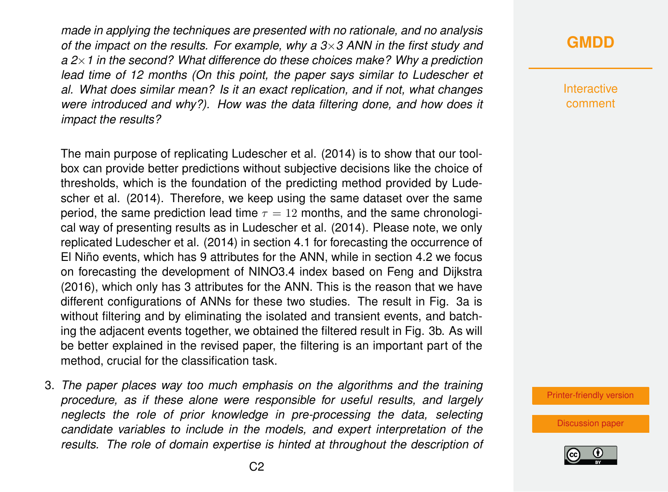*made in applying the techniques are presented with no rationale, and no analysis of the impact on the results. For example, why a 3*×*3 ANN in the first study and a 2*×*1 in the second? What difference do these choices make? Why a prediction lead time of 12 months (On this point, the paper says similar to Ludescher et al. What does similar mean? Is it an exact replication, and if not, what changes were introduced and why?). How was the data filtering done, and how does it impact the results?*

The main purpose of replicating Ludescher et al. (2014) is to show that our toolbox can provide better predictions without subjective decisions like the choice of thresholds, which is the foundation of the predicting method provided by Ludescher et al. (2014). Therefore, we keep using the same dataset over the same period, the same prediction lead time  $\tau = 12$  months, and the same chronological way of presenting results as in Ludescher et al. (2014). Please note, we only replicated Ludescher et al. (2014) in section 4.1 for forecasting the occurrence of El Niño events, which has 9 attributes for the ANN, while in section 4.2 we focus on forecasting the development of NINO3.4 index based on Feng and Dijkstra (2016), which only has 3 attributes for the ANN. This is the reason that we have different configurations of ANNs for these two studies. The result in Fig. 3a is without filtering and by eliminating the isolated and transient events, and batching the adjacent events together, we obtained the filtered result in Fig. 3b. As will be better explained in the revised paper, the filtering is an important part of the method, crucial for the classification task.

3. *The paper places way too much emphasis on the algorithms and the training procedure, as if these alone were responsible for useful results, and largely neglects the role of prior knowledge in pre-processing the data, selecting candidate variables to include in the models, and expert interpretation of the results. The role of domain expertise is hinted at throughout the description of*

## **[GMDD](http://www.geosci-model-dev-discuss.net/)**

**Interactive** comment

[Printer-friendly version](http://www.geosci-model-dev-discuss.net/gmd-2015-273/gmd-2015-273-AC2-print.pdf)

[Discussion paper](http://www.geosci-model-dev-discuss.net/gmd-2015-273)